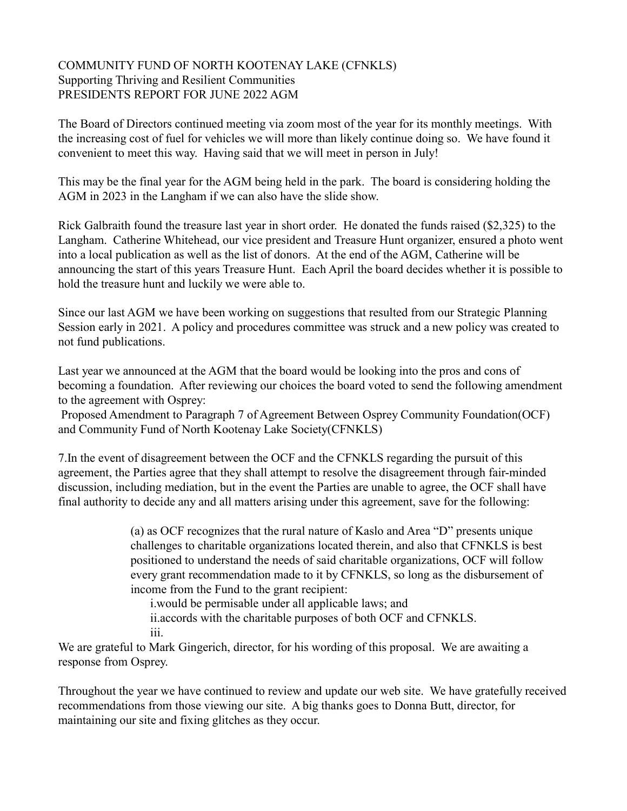## COMMUNITY FUND OF NORTH KOOTENAY LAKE (CFNKLS) Supporting Thriving and Resilient Communities PRESIDENTS REPORT FOR JUNE 2022 AGM

The Board of Directors continued meeting via zoom most of the year for its monthly meetings. With the increasing cost of fuel for vehicles we will more than likely continue doing so. We have found it convenient to meet this way. Having said that we will meet in person in July!

This may be the final year for the AGM being held in the park. The board is considering holding the AGM in 2023 in the Langham if we can also have the slide show.

Rick Galbraith found the treasure last year in short order. He donated the funds raised (\$2,325) to the Langham. Catherine Whitehead, our vice president and Treasure Hunt organizer, ensured a photo went into a local publication as well as the list of donors. At the end of the AGM, Catherine will be announcing the start of this years Treasure Hunt. Each April the board decides whether it is possible to hold the treasure hunt and luckily we were able to.

Since our last AGM we have been working on suggestions that resulted from our Strategic Planning Session early in 2021. A policy and procedures committee was struck and a new policy was created to not fund publications.

Last year we announced at the AGM that the board would be looking into the pros and cons of becoming a foundation. After reviewing our choices the board voted to send the following amendment to the agreement with Osprey:

 Proposed Amendment to Paragraph 7 of Agreement Between Osprey Community Foundation(OCF) and Community Fund of North Kootenay Lake Society(CFNKLS)

7.In the event of disagreement between the OCF and the CFNKLS regarding the pursuit of this agreement, the Parties agree that they shall attempt to resolve the disagreement through fair-minded discussion, including mediation, but in the event the Parties are unable to agree, the OCF shall have final authority to decide any and all matters arising under this agreement, save for the following:

> (a) as OCF recognizes that the rural nature of Kaslo and Area "D" presents unique challenges to charitable organizations located therein, and also that CFNKLS is best positioned to understand the needs of said charitable organizations, OCF will follow every grant recommendation made to it by CFNKLS, so long as the disbursement of income from the Fund to the grant recipient:

i.would be permisable under all applicable laws; and ii.accords with the charitable purposes of both OCF and CFNKLS. iii.

We are grateful to Mark Gingerich, director, for his wording of this proposal. We are awaiting a response from Osprey.

Throughout the year we have continued to review and update our web site. We have gratefully received recommendations from those viewing our site. A big thanks goes to Donna Butt, director, for maintaining our site and fixing glitches as they occur.